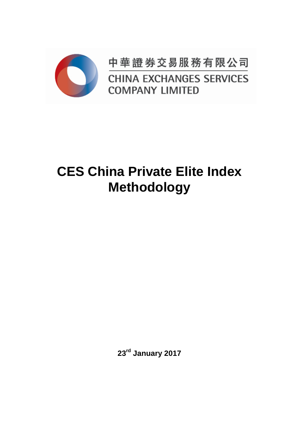

中華證券交易服務有限公司 **CHINA EXCHANGES SERVICES COMPANY LIMITED** 

# **CES China Private Elite Index Methodology**

**23rd January 2017**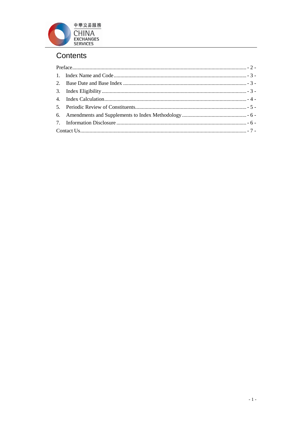

# Contents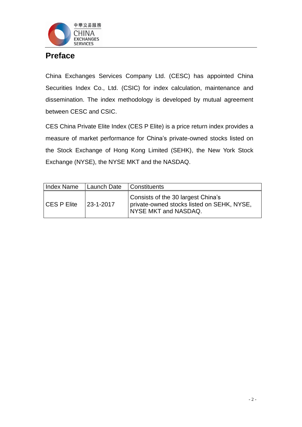

# <span id="page-2-0"></span>**Preface**

China Exchanges Services Company Ltd. (CESC) has appointed China Securities Index Co., Ltd. (CSIC) for index calculation, maintenance and dissemination. The index methodology is developed by mutual agreement between CESC and CSIC.

CES China Private Elite Index (CES P Elite) is a price return index provides a measure of market performance for China's private-owned stocks listed on the Stock Exchange of Hong Kong Limited (SEHK), the New York Stock Exchange (NYSE), the NYSE MKT and the NASDAQ.

<span id="page-2-1"></span>

| Index Name         | Launch Date      | Constituents                                                                                             |
|--------------------|------------------|----------------------------------------------------------------------------------------------------------|
| <b>CES P Elite</b> | $123 - 1 - 2017$ | Consists of the 30 largest China's<br>private-owned stocks listed on SEHK, NYSE,<br>NYSE MKT and NASDAQ. |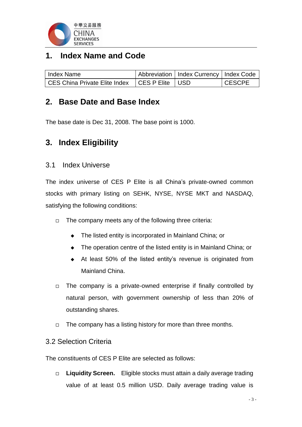

# **1. Index Name and Code**

| Index Name                                        | Abbreviation   Index Currency   Index Code |               |
|---------------------------------------------------|--------------------------------------------|---------------|
| CES China Private Elite Index   CES P Elite   USD |                                            | <b>CESCPE</b> |

### <span id="page-3-0"></span>**2. Base Date and Base Index**

The base date is Dec 31, 2008. The base point is 1000.

# <span id="page-3-1"></span>**3. Index Eligibility**

#### 3.1 Index Universe

The index universe of CES P Elite is all China's private-owned common stocks with primary listing on SEHK, NYSE, NYSE MKT and NASDAQ, satisfying the following conditions:

- $\Box$  The company meets any of the following three criteria:
	- ◆ The listed entity is incorporated in Mainland China; or
	- ◆ The operation centre of the listed entity is in Mainland China; or
	- At least 50% of the listed entity's revenue is originated from Mainland China.
- $\Box$  The company is a private-owned enterprise if finally controlled by natural person, with government ownership of less than 20% of outstanding shares.
- $\Box$  The company has a listing history for more than three months.

#### 3.2 Selection Criteria

The constituents of CES P Elite are selected as follows:

 **Liquidity Screen.** Eligible stocks must attain a daily average trading value of at least 0.5 million USD. Daily average trading value is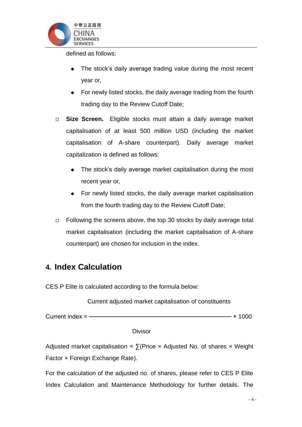

defined as follows:

- The stock's daily average trading value during the most recent year or,
- ◆ For newly listed stocks, the daily average trading from the fourth trading day to the Review Cutoff Date;
- **Size Screen.** Eligible stocks must attain a daily average market capitalisation of at least 500 million USD (including the market capitalisation of A-share counterpart). Daily average market capitalization is defined as follows:
	- The stock's daily average market capitalisation during the most recent year or,
	- For newly listed stocks, the daily average market capitalisation from the fourth trading day to the Review Cutoff Date;
- $\Box$  Following the screens above, the top 30 stocks by daily average total market capitalisation (including the market capitalisation of A-share counterpart) are chosen for inclusion in the index.

# <span id="page-4-0"></span>**4. Index Calculation**

CES P Elite is calculated according to the formula below:

Current adjusted market capitalisation of constituents

Current index =  $\frac{3.000}{2.000}$ 

Divisor

Adjusted market capitalisation =  $\sum$ (Price x Adjusted No. of shares x Weight Factor x Foreign Exchange Rate).

For the calculation of the adjusted no. of shares, please refer to CES P Elite Index Calculation and Maintenance Methodology for further details. The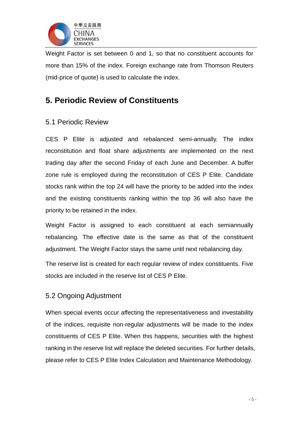

Weight Factor is set between 0 and 1, so that no constituent accounts for more than 15% of the index. Foreign exchange rate from Thomson Reuters (mid-price of quote) is used to calculate the index.

# <span id="page-5-0"></span>**5. Periodic Review of Constituents**

#### 5.1 Periodic Review

CES P Elite is adjusted and rebalanced semi-annually. The index reconstitution and float share adjustments are implemented on the next trading day after the second Friday of each June and December. A buffer zone rule is employed during the reconstitution of CES P Elite. Candidate stocks rank within the top 24 will have the priority to be added into the index and the existing constituents ranking within the top 36 will also have the priority to be retained in the index.

Weight Factor is assigned to each constituent at each semiannually rebalancing. The effective date is the same as that of the constituent adjustment. The Weight Factor stays the same until next rebalancing day.

The reserve list is created for each regular review of index constituents. Five stocks are included in the reserve list of CES P Elite.

#### 5.2 Ongoing Adjustment

When special events occur affecting the representativeness and investability of the indices, requisite non-regular adjustments will be made to the index constituents of CES P Elite. When this happens, securities with the highest ranking in the reserve list will replace the deleted securities. For further details, please refer to CES P Elite Index Calculation and Maintenance Methodology.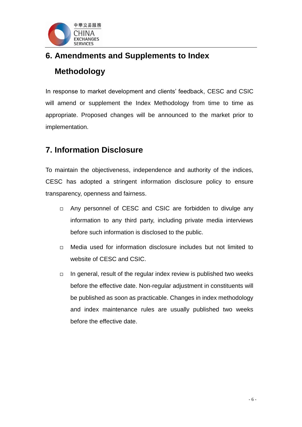

# <span id="page-6-0"></span>**6. Amendments and Supplements to Index Methodology**

In response to market development and clients' feedback, CESC and CSIC will amend or supplement the Index Methodology from time to time as appropriate. Proposed changes will be announced to the market prior to implementation.

# <span id="page-6-1"></span>**7. Information Disclosure**

To maintain the objectiveness, independence and authority of the indices, CESC has adopted a stringent information disclosure policy to ensure transparency, openness and fairness.

- □ Any personnel of CESC and CSIC are forbidden to divulge any information to any third party, including private media interviews before such information is disclosed to the public.
- □ Media used for information disclosure includes but not limited to website of CESC and CSIC.
- $\Box$  In general, result of the regular index review is published two weeks before the effective date. Non-regular adjustment in constituents will be published as soon as practicable. Changes in index methodology and index maintenance rules are usually published two weeks before the effective date.